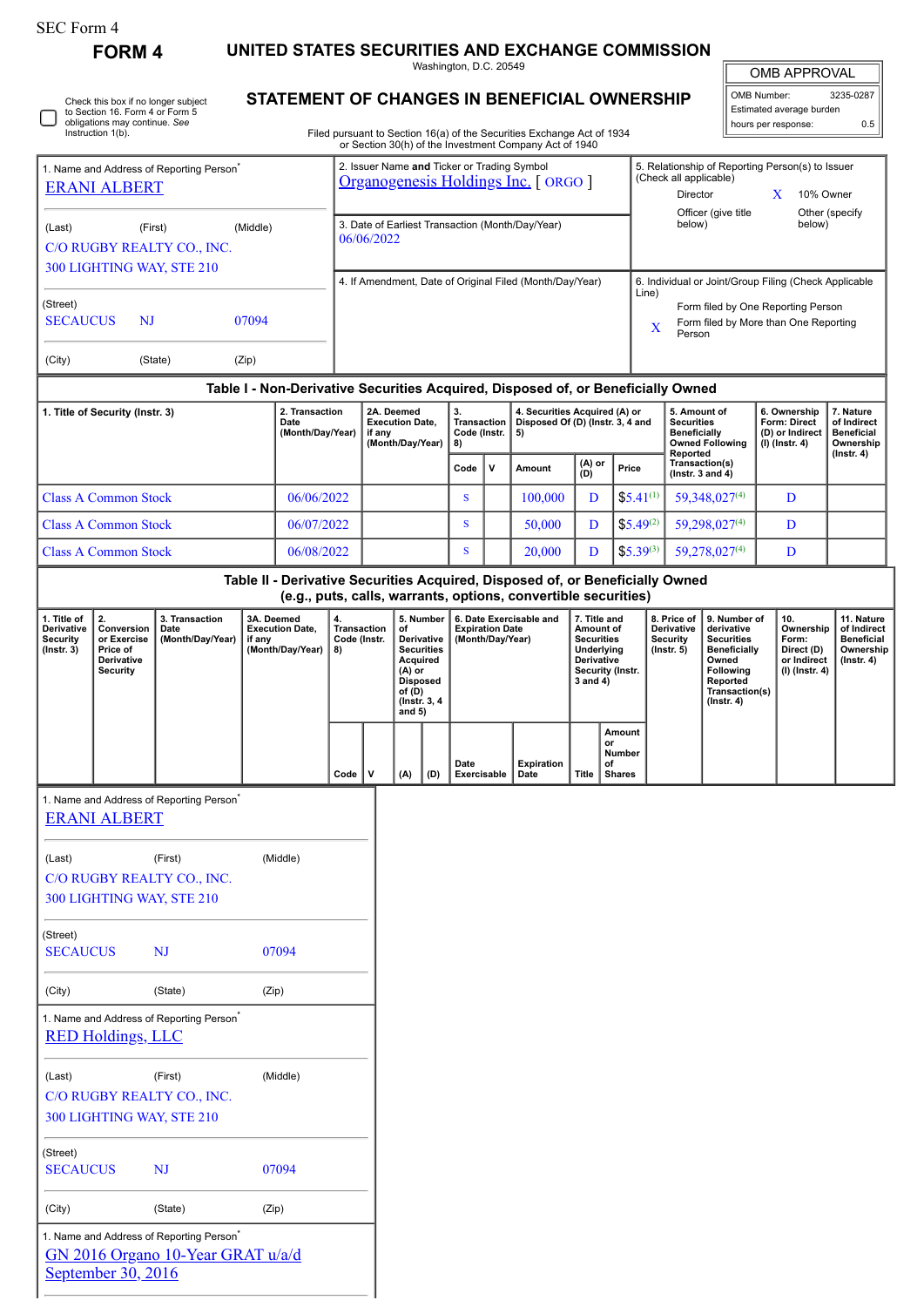# SEC Form 4

Г

**FORM 4 UNITED STATES SECURITIES AND EXCHANGE COMMISSION**

Washington, D.C. 20549

|                                                                                                                                                                                                |                                                                    |          | Washington, D.C. 20549                                                                                                                                                           |                                                                                                               |                                                                             |                           |
|------------------------------------------------------------------------------------------------------------------------------------------------------------------------------------------------|--------------------------------------------------------------------|----------|----------------------------------------------------------------------------------------------------------------------------------------------------------------------------------|---------------------------------------------------------------------------------------------------------------|-----------------------------------------------------------------------------|---------------------------|
|                                                                                                                                                                                                |                                                                    |          | <b>OMB APPROVAL</b>                                                                                                                                                              |                                                                                                               |                                                                             |                           |
| Check this box if no longer subject<br>to Section 16. Form 4 or Form 5<br>obligations may continue. See<br>Instruction 1(b).<br>1. Name and Address of Reporting Person<br><b>ERANI ALBERT</b> |                                                                    |          | STATEMENT OF CHANGES IN BENEFICIAL OWNERSHIP<br>Filed pursuant to Section 16(a) of the Securities Exchange Act of 1934<br>or Section 30(h) of the Investment Company Act of 1940 |                                                                                                               | OMB Number:<br>Estimated average burden<br>hours per response:              | 3235-0287<br>0.5          |
|                                                                                                                                                                                                |                                                                    |          | 2. Issuer Name and Ticker or Trading Symbol<br>Organogenesis Holdings Inc. [ ORGO ]                                                                                              | 5. Relationship of Reporting Person(s) to Issuer<br>(Check all applicable)<br>Director<br>Officer (give title |                                                                             | 10% Owner                 |
| (Last)                                                                                                                                                                                         | (First)<br>C/O RUGBY REALTY CO., INC.<br>300 LIGHTING WAY, STE 210 | (Middle) | 3. Date of Earliest Transaction (Month/Day/Year)<br>06/06/2022                                                                                                                   | below)                                                                                                        |                                                                             | Other (specify)<br>below) |
| (Street)<br><b>SECAUCUS</b>                                                                                                                                                                    | NJ                                                                 | 07094    | 4. If Amendment, Date of Original Filed (Month/Day/Year)                                                                                                                         | 6. Individual or Joint/Group Filing (Check Applicable<br>Line)<br>$\mathbf x$<br>Person                       | Form filed by One Reporting Person<br>Form filed by More than One Reporting |                           |

| <b>SECAUCUS</b> | NI      | 07094 |  |  |
|-----------------|---------|-------|--|--|
| (City)          | (State) | (Zip) |  |  |

## **Table I - Non-Derivative Securities Acquired, Disposed of, or Beneficially Owned**

| 1. Title of Security (Instr. 3) | 2. Transaction<br>Date<br>(Month/Day/Year) | 2A. Deemed<br>Transaction<br><b>Execution Date.</b><br>Code (Instr.  <br>if anv<br>(Month/Day/Year)<br>8) |      | 4. Securities Acquired (A) or<br>Disposed Of (D) (Instr. 3, 4 and<br>5) |         |               | 5. Amount of<br><b>Securities</b><br><b>Beneficially</b><br><b>Owned Following</b><br>Reported | 6. Ownership<br><b>Form: Direct</b><br>(D) or Indirect<br>(I) (Instr. 4) | 7. Nature<br>of Indirect<br><b>Beneficial</b><br>Ownership<br>$($ lnstr. 4 $)$ |  |
|---------------------------------|--------------------------------------------|-----------------------------------------------------------------------------------------------------------|------|-------------------------------------------------------------------------|---------|---------------|------------------------------------------------------------------------------------------------|--------------------------------------------------------------------------|--------------------------------------------------------------------------------|--|
|                                 |                                            |                                                                                                           | Code |                                                                         | Amount  | (A) or<br>(D) | Price                                                                                          | Transaction(s)<br>( $lnstr. 3$ and $4$ )                                 |                                                                                |  |
| <b>Class A Common Stock</b>     | 06/06/2022                                 |                                                                                                           | ×    |                                                                         | 100.000 |               | $$5.41^{(1)}$                                                                                  | 59,348,027(4)                                                            | D                                                                              |  |
| <b>Class A Common Stock</b>     | 06/07/2022                                 |                                                                                                           |      |                                                                         | 50,000  |               | $$5,49^{(2)}$$                                                                                 | 59,298,027(4)                                                            | D                                                                              |  |
| <b>Class A Common Stock</b>     | 06/08/2022                                 |                                                                                                           | ×.   |                                                                         | 20,000  |               | $$5.39^{(3)}$                                                                                  | 59,278,027 <sup>(4)</sup>                                                | D                                                                              |  |

### **Table II - Derivative Securities Acquired, Disposed of, or Beneficially Owned (e.g., puts, calls, warrants, options, convertible securities)**

| 1. Title of<br><b>Derivative</b><br>Security<br>$($ lnstr. 3 $)$ | Conversion<br>or Exercise<br>Price of<br><b>Derivative</b><br><b>Security</b> | 3. Transaction<br>Date<br>(Month/Day/Year) | 3A. Deemed<br><b>Execution Date.</b><br>if any<br>(Month/Day/Year) | ' 4.<br>Transaction<br>Code (Instr.<br>8) |             | 5. Number<br>οf<br>Derivative<br><b>Securities</b><br>Acquired<br>$(A)$ or<br><b>Disposed</b><br>of (D)<br>(Instr. 3, 4)<br>and $5)$ |     | 6. Date Exercisable and<br><b>Expiration Date</b><br>(Month/Day/Year) |                           | 7. Title and<br>Amount of<br>Securities<br>Underlying<br><b>Derivative</b><br>Security (Instr.<br>$3$ and $4)$ |                                        | 8. Price of I<br><b>Derivative</b><br>Security<br>$($ lnstr. 5 $)$ | 9. Number of<br>derivative<br>Securities<br><b>Beneficially</b><br>Owned<br><b>Following</b><br>Reported<br>Transaction(s)<br>$($ lnstr. 4 $)$ | 10.<br>Ownership<br>Form:<br>Direct (D)<br>or Indirect<br>(I) (Instr. 4) | 11. Nature<br>of Indirect<br><b>Beneficial</b><br>Ownership<br>(Instr. 4) |
|------------------------------------------------------------------|-------------------------------------------------------------------------------|--------------------------------------------|--------------------------------------------------------------------|-------------------------------------------|-------------|--------------------------------------------------------------------------------------------------------------------------------------|-----|-----------------------------------------------------------------------|---------------------------|----------------------------------------------------------------------------------------------------------------|----------------------------------------|--------------------------------------------------------------------|------------------------------------------------------------------------------------------------------------------------------------------------|--------------------------------------------------------------------------|---------------------------------------------------------------------------|
|                                                                  |                                                                               |                                            |                                                                    | Code                                      | $\mathbf v$ | (A)                                                                                                                                  | (D) | Date<br>Exercisable                                                   | <b>Expiration</b><br>Date | Title                                                                                                          | Amount<br>or<br>Number<br>of<br>Shares |                                                                    |                                                                                                                                                |                                                                          |                                                                           |

1. Name and Address of Reporting Person\*

## [ERANI ALBERT](http://www.sec.gov/cgi-bin/browse-edgar?action=getcompany&CIK=0001074084)

| (Last)                                               | (First)                                              | (Middle) |  |  |  |  |  |  |
|------------------------------------------------------|------------------------------------------------------|----------|--|--|--|--|--|--|
| C/O RUGBY REALTY CO., INC.                           |                                                      |          |  |  |  |  |  |  |
| 300 LIGHTING WAY, STE 210                            |                                                      |          |  |  |  |  |  |  |
| (Street)                                             |                                                      |          |  |  |  |  |  |  |
| <b>SECAUCUS</b>                                      | NJ                                                   | 07094    |  |  |  |  |  |  |
| (City)                                               | (State)                                              | (Zip)    |  |  |  |  |  |  |
|                                                      | 1. Name and Address of Reporting Person <sup>®</sup> |          |  |  |  |  |  |  |
|                                                      | <b>RED Holdings, LLC</b>                             |          |  |  |  |  |  |  |
|                                                      |                                                      |          |  |  |  |  |  |  |
| (Last)                                               | (First)                                              | (Middle) |  |  |  |  |  |  |
|                                                      | C/O RUGBY REALTY CO., INC.                           |          |  |  |  |  |  |  |
| 300 LIGHTING WAY, STE 210                            |                                                      |          |  |  |  |  |  |  |
| (Street)                                             |                                                      |          |  |  |  |  |  |  |
| <b>SECAUCUS</b>                                      | NJ                                                   | 07094    |  |  |  |  |  |  |
| (City)                                               | (State)                                              | (Zip)    |  |  |  |  |  |  |
| 1. Name and Address of Reporting Person <sup>®</sup> |                                                      |          |  |  |  |  |  |  |
| GN 2016 Organo 10-Year GRAT u/a/d                    |                                                      |          |  |  |  |  |  |  |
| <u>September 30, 2016</u>                            |                                                      |          |  |  |  |  |  |  |